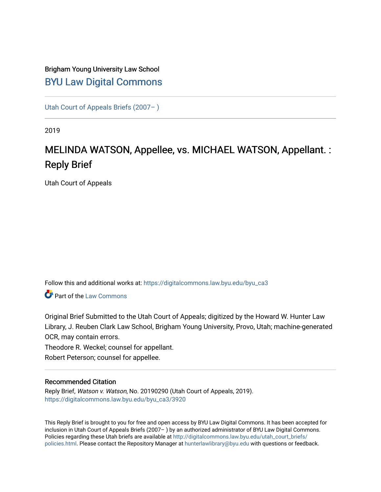# Brigham Young University Law School [BYU Law Digital Commons](https://digitalcommons.law.byu.edu/)

[Utah Court of Appeals Briefs \(2007– \)](https://digitalcommons.law.byu.edu/byu_ca3) 

2019

# MELINDA WATSON, Appellee, vs. MICHAEL WATSON, Appellant. : Reply Brief

Utah Court of Appeals

Follow this and additional works at: [https://digitalcommons.law.byu.edu/byu\\_ca3](https://digitalcommons.law.byu.edu/byu_ca3?utm_source=digitalcommons.law.byu.edu%2Fbyu_ca3%2F3920&utm_medium=PDF&utm_campaign=PDFCoverPages) 

**C** Part of the [Law Commons](https://network.bepress.com/hgg/discipline/578?utm_source=digitalcommons.law.byu.edu%2Fbyu_ca3%2F3920&utm_medium=PDF&utm_campaign=PDFCoverPages)

Original Brief Submitted to the Utah Court of Appeals; digitized by the Howard W. Hunter Law Library, J. Reuben Clark Law School, Brigham Young University, Provo, Utah; machine-generated OCR, may contain errors.

Theodore R. Weckel; counsel for appellant.

Robert Peterson; counsel for appellee.

#### Recommended Citation

Reply Brief, Watson v. Watson, No. 20190290 (Utah Court of Appeals, 2019). [https://digitalcommons.law.byu.edu/byu\\_ca3/3920](https://digitalcommons.law.byu.edu/byu_ca3/3920?utm_source=digitalcommons.law.byu.edu%2Fbyu_ca3%2F3920&utm_medium=PDF&utm_campaign=PDFCoverPages) 

This Reply Brief is brought to you for free and open access by BYU Law Digital Commons. It has been accepted for inclusion in Utah Court of Appeals Briefs (2007– ) by an authorized administrator of BYU Law Digital Commons. Policies regarding these Utah briefs are available at [http://digitalcommons.law.byu.edu/utah\\_court\\_briefs/](http://digitalcommons.law.byu.edu/utah_court_briefs/policies.html) [policies.html](http://digitalcommons.law.byu.edu/utah_court_briefs/policies.html). Please contact the Repository Manager at hunterlawlibrary@byu.edu with questions or feedback.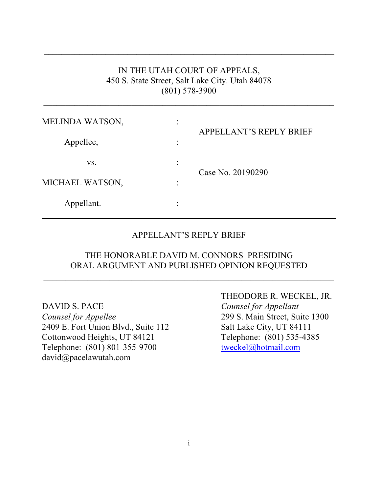### IN THE UTAH COURT OF APPEALS, 450 S. State Street, Salt Lake City. Utah 84078 (801) 578-3900

 $\_$  , and the set of the set of the set of the set of the set of the set of the set of the set of the set of the set of the set of the set of the set of the set of the set of the set of the set of the set of the set of th

 $\overline{\phantom{a}}$  ,  $\overline{\phantom{a}}$  ,  $\overline{\phantom{a}}$  ,  $\overline{\phantom{a}}$  ,  $\overline{\phantom{a}}$  ,  $\overline{\phantom{a}}$  ,  $\overline{\phantom{a}}$  ,  $\overline{\phantom{a}}$  ,  $\overline{\phantom{a}}$  ,  $\overline{\phantom{a}}$  ,  $\overline{\phantom{a}}$  ,  $\overline{\phantom{a}}$  ,  $\overline{\phantom{a}}$  ,  $\overline{\phantom{a}}$  ,  $\overline{\phantom{a}}$  ,  $\overline{\phantom{a}}$ 

| MELINDA WATSON, | ٠<br>$\blacksquare$ |                                |  |  |  |  |  |
|-----------------|---------------------|--------------------------------|--|--|--|--|--|
| Appellee,       | $\bullet$           | <b>APPELLANT'S REPLY BRIEF</b> |  |  |  |  |  |
| VS.             | $\bullet$           | Case No. 20190290              |  |  |  |  |  |
| MICHAEL WATSON, | ٠                   |                                |  |  |  |  |  |
| Appellant.      | ٠                   |                                |  |  |  |  |  |

#### APPELLANT'S REPLY BRIEF

### THE HONORABLE DAVID M. CONNORS PRESIDING ORAL ARGUMENT AND PUBLISHED OPINION REQUESTED

 $\_$  , and the set of the set of the set of the set of the set of the set of the set of the set of the set of the set of the set of the set of the set of the set of the set of the set of the set of the set of the set of th

DAVID S. PACE *Counsel for Appellant Counsel for Appellee* 299 S. Main Street, Suite 1300 2409 E. Fort Union Blvd., Suite 112 Salt Lake City, UT 84111 Cottonwood Heights, UT 84121 Telephone: (801) 535-4385 Telephone: (801) 801-355-9700 [tweckel@hotmail.com](mailto:tweckel@hotmail.com) david@pacelawutah.com

THEODORE R. WECKEL, JR.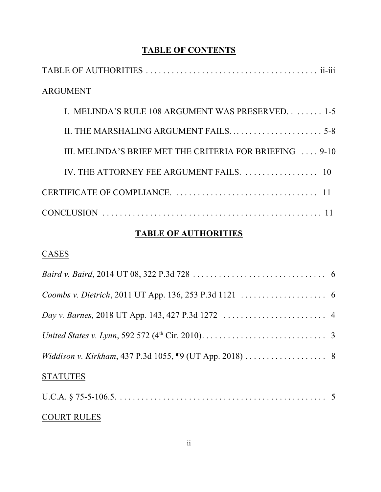# **TABLE OF CONTENTS**

| <b>ARGUMENT</b>                                          |
|----------------------------------------------------------|
| I. MELINDA'S RULE 108 ARGUMENT WAS PRESERVED. 1-5        |
|                                                          |
| III. MELINDA'S BRIEF MET THE CRITERIA FOR BRIEFING  9-10 |
| IV. THE ATTORNEY FEE ARGUMENT FAILS.  10                 |
|                                                          |
|                                                          |

# **TABLE OF AUTHORITIES**

# **CASES**

| <b>STATUTES</b> |  |
|-----------------|--|
|                 |  |

## COURT RULES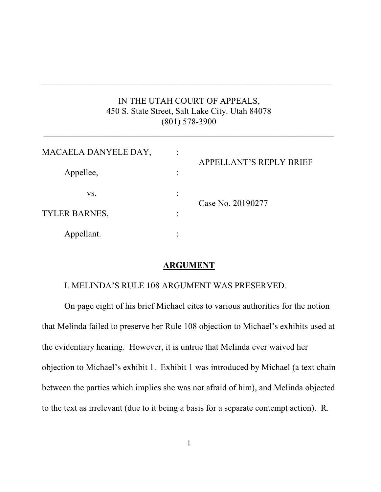### IN THE UTAH COURT OF APPEALS, 450 S. State Street, Salt Lake City. Utah 84078 (801) 578-3900

 $\_$  , and the set of the set of the set of the set of the set of the set of the set of the set of the set of the set of the set of the set of the set of the set of the set of the set of the set of the set of the set of th

 $\_$  , and the set of the set of the set of the set of the set of the set of the set of the set of the set of the set of the set of the set of the set of the set of the set of the set of the set of the set of the set of th

| MACAELA DANYELE DAY, |           | <b>APPELLANT'S REPLY BRIEF</b> |  |  |  |  |  |
|----------------------|-----------|--------------------------------|--|--|--|--|--|
| Appellee,            |           |                                |  |  |  |  |  |
| VS.                  | ٠         | Case No. 20190277              |  |  |  |  |  |
| <b>TYLER BARNES,</b> | ٠         |                                |  |  |  |  |  |
| Appellant.           | $\bullet$ |                                |  |  |  |  |  |

#### **ARGUMENT**

I. MELINDA'S RULE 108 ARGUMENT WAS PRESERVED.

On page eight of his brief Michael cites to various authorities for the notion that Melinda failed to preserve her Rule 108 objection to Michael's exhibits used at the evidentiary hearing. However, it is untrue that Melinda ever waived her objection to Michael's exhibit 1. Exhibit 1 was introduced by Michael (a text chain between the parties which implies she was not afraid of him), and Melinda objected to the text as irrelevant (due to it being a basis for a separate contempt action). R.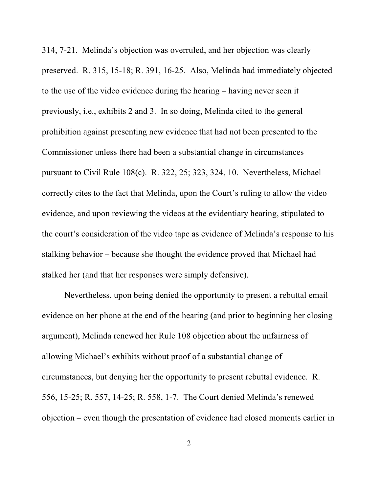314, 7-21. Melinda's objection was overruled, and her objection was clearly preserved. R. 315, 15-18; R. 391, 16-25. Also, Melinda had immediately objected to the use of the video evidence during the hearing – having never seen it previously, i.e., exhibits 2 and 3. In so doing, Melinda cited to the general prohibition against presenting new evidence that had not been presented to the Commissioner unless there had been a substantial change in circumstances pursuant to Civil Rule 108(c). R. 322, 25; 323, 324, 10. Nevertheless, Michael correctly cites to the fact that Melinda, upon the Court's ruling to allow the video evidence, and upon reviewing the videos at the evidentiary hearing, stipulated to the court's consideration of the video tape as evidence of Melinda's response to his stalking behavior – because she thought the evidence proved that Michael had stalked her (and that her responses were simply defensive).

Nevertheless, upon being denied the opportunity to present a rebuttal email evidence on her phone at the end of the hearing (and prior to beginning her closing argument), Melinda renewed her Rule 108 objection about the unfairness of allowing Michael's exhibits without proof of a substantial change of circumstances, but denying her the opportunity to present rebuttal evidence. R. 556, 15-25; R. 557, 14-25; R. 558, 1-7. The Court denied Melinda's renewed objection – even though the presentation of evidence had closed moments earlier in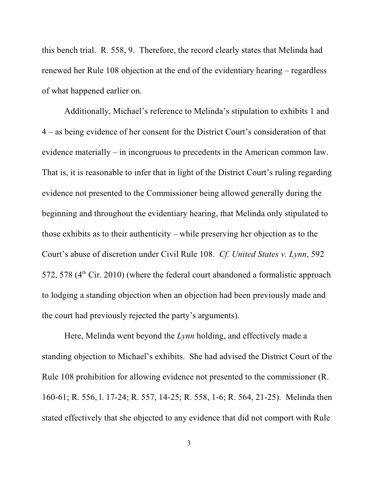this bench trial. R. 558, 9. Therefore, the record clearly states that Melinda had renewed her Rule 108 objection at the end of the evidentiary hearing – regardless of what happened earlier on.

Additionally, Michael's reference to Melinda's stipulation to exhibits 1 and 4 – as being evidence of her consent for the District Court's consideration of that evidence materially – in incongruous to precedents in the American common law. That is, it is reasonable to infer that in light of the District Court's ruling regarding evidence not presented to the Commissioner being allowed generally during the beginning and throughout the evidentiary hearing, that Melinda only stipulated to those exhibits as to their authenticity – while preserving her objection as to the Court's abuse of discretion under Civil Rule 108. *Cf. United States v. Lynn*, 592 572, 578 ( $4<sup>th</sup>$  Cir. 2010) (where the federal court abandoned a formalistic approach to lodging a standing objection when an objection had been previously made and the court had previously rejected the party's arguments).

Here, Melinda went beyond the *Lynn* holding, and effectively made a standing objection to Michael's exhibits. She had advised the District Court of the Rule 108 prohibition for allowing evidence not presented to the commissioner (R. 160-61; R. 556, l. 17-24; R. 557, 14-25; R. 558, 1-6; R. 564, 21-25). Melinda then stated effectively that she objected to any evidence that did not comport with Rule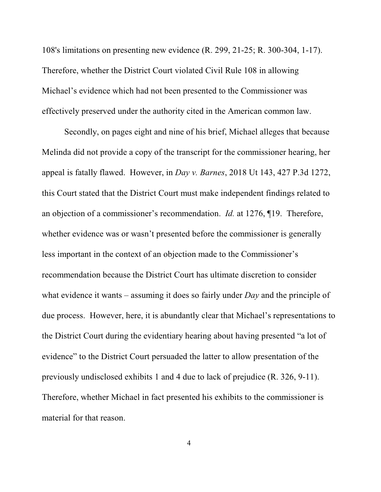108's limitations on presenting new evidence (R. 299, 21-25; R. 300-304, 1-17). Therefore, whether the District Court violated Civil Rule 108 in allowing Michael's evidence which had not been presented to the Commissioner was effectively preserved under the authority cited in the American common law.

Secondly, on pages eight and nine of his brief, Michael alleges that because Melinda did not provide a copy of the transcript for the commissioner hearing, her appeal is fatally flawed. However, in *Day v. Barnes*, 2018 Ut 143, 427 P.3d 1272, this Court stated that the District Court must make independent findings related to an objection of a commissioner's recommendation. *Id.* at 1276, ¶19. Therefore, whether evidence was or wasn't presented before the commissioner is generally less important in the context of an objection made to the Commissioner's recommendation because the District Court has ultimate discretion to consider what evidence it wants – assuming it does so fairly under *Day* and the principle of due process. However, here, it is abundantly clear that Michael's representations to the District Court during the evidentiary hearing about having presented "a lot of evidence" to the District Court persuaded the latter to allow presentation of the previously undisclosed exhibits 1 and 4 due to lack of prejudice (R. 326, 9-11). Therefore, whether Michael in fact presented his exhibits to the commissioner is material for that reason.

4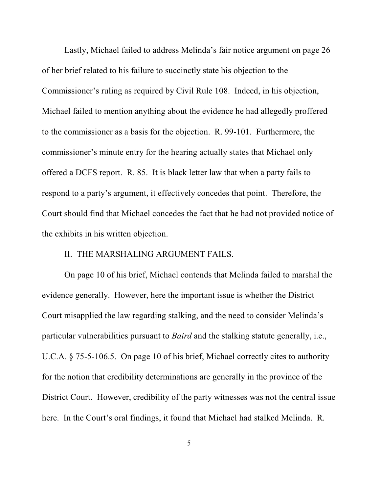Lastly, Michael failed to address Melinda's fair notice argument on page 26 of her brief related to his failure to succinctly state his objection to the Commissioner's ruling as required by Civil Rule 108. Indeed, in his objection, Michael failed to mention anything about the evidence he had allegedly proffered to the commissioner as a basis for the objection. R. 99-101. Furthermore, the commissioner's minute entry for the hearing actually states that Michael only offered a DCFS report. R. 85. It is black letter law that when a party fails to respond to a party's argument, it effectively concedes that point. Therefore, the Court should find that Michael concedes the fact that he had not provided notice of the exhibits in his written objection.

### II. THE MARSHALING ARGUMENT FAILS.

On page 10 of his brief, Michael contends that Melinda failed to marshal the evidence generally. However, here the important issue is whether the District Court misapplied the law regarding stalking, and the need to consider Melinda's particular vulnerabilities pursuant to *Baird* and the stalking statute generally, i.e., U.C.A. § 75-5-106.5. On page 10 of his brief, Michael correctly cites to authority for the notion that credibility determinations are generally in the province of the District Court. However, credibility of the party witnesses was not the central issue here. In the Court's oral findings, it found that Michael had stalked Melinda. R.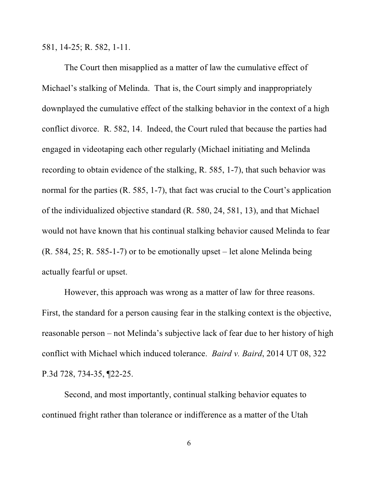581, 14-25; R. 582, 1-11.

The Court then misapplied as a matter of law the cumulative effect of Michael's stalking of Melinda. That is, the Court simply and inappropriately downplayed the cumulative effect of the stalking behavior in the context of a high conflict divorce. R. 582, 14. Indeed, the Court ruled that because the parties had engaged in videotaping each other regularly (Michael initiating and Melinda recording to obtain evidence of the stalking, R. 585, 1-7), that such behavior was normal for the parties (R. 585, 1-7), that fact was crucial to the Court's application of the individualized objective standard (R. 580, 24, 581, 13), and that Michael would not have known that his continual stalking behavior caused Melinda to fear (R. 584, 25; R. 585-1-7) or to be emotionally upset – let alone Melinda being actually fearful or upset.

However, this approach was wrong as a matter of law for three reasons. First, the standard for a person causing fear in the stalking context is the objective, reasonable person – not Melinda's subjective lack of fear due to her history of high conflict with Michael which induced tolerance. *Baird v. Baird*, 2014 UT 08, 322 P.3d 728, 734-35, ¶22-25.

Second, and most importantly, continual stalking behavior equates to continued fright rather than tolerance or indifference as a matter of the Utah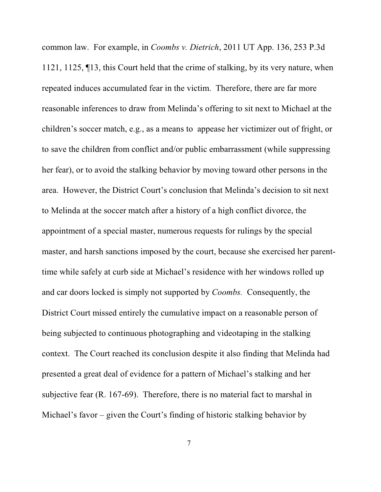common law. For example, in *Coombs v. Dietrich*, 2011 UT App. 136, 253 P.3d 1121, 1125, ¶13, this Court held that the crime of stalking, by its very nature, when repeated induces accumulated fear in the victim. Therefore, there are far more reasonable inferences to draw from Melinda's offering to sit next to Michael at the children's soccer match, e.g., as a means to appease her victimizer out of fright, or to save the children from conflict and/or public embarrassment (while suppressing her fear), or to avoid the stalking behavior by moving toward other persons in the area. However, the District Court's conclusion that Melinda's decision to sit next to Melinda at the soccer match after a history of a high conflict divorce, the appointment of a special master, numerous requests for rulings by the special master, and harsh sanctions imposed by the court, because she exercised her parenttime while safely at curb side at Michael's residence with her windows rolled up and car doors locked is simply not supported by *Coombs.* Consequently, the District Court missed entirely the cumulative impact on a reasonable person of being subjected to continuous photographing and videotaping in the stalking context. The Court reached its conclusion despite it also finding that Melinda had presented a great deal of evidence for a pattern of Michael's stalking and her subjective fear (R. 167-69). Therefore, there is no material fact to marshal in Michael's favor – given the Court's finding of historic stalking behavior by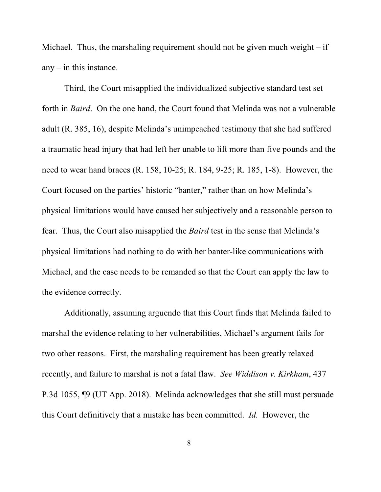Michael. Thus, the marshaling requirement should not be given much weight  $-$  if any  $-$  in this instance.

Third, the Court misapplied the individualized subjective standard test set forth in *Baird*. On the one hand, the Court found that Melinda was not a vulnerable adult (R. 385, 16), despite Melinda's unimpeached testimony that she had suffered a traumatic head injury that had left her unable to lift more than five pounds and the need to wear hand braces (R. 158, 10-25; R. 184, 9-25; R. 185, 1-8). However, the Court focused on the parties' historic "banter," rather than on how Melinda's physical limitations would have caused her subjectively and a reasonable person to fear. Thus, the Court also misapplied the *Baird* test in the sense that Melinda's physical limitations had nothing to do with her banter-like communications with Michael, and the case needs to be remanded so that the Court can apply the law to the evidence correctly.

Additionally, assuming arguendo that this Court finds that Melinda failed to marshal the evidence relating to her vulnerabilities, Michael's argument fails for two other reasons. First, the marshaling requirement has been greatly relaxed recently, and failure to marshal is not a fatal flaw. *See Widdison v. Kirkham*, 437 P.3d 1055, ¶9 (UT App. 2018). Melinda acknowledges that she still must persuade this Court definitively that a mistake has been committed. *Id.* However, the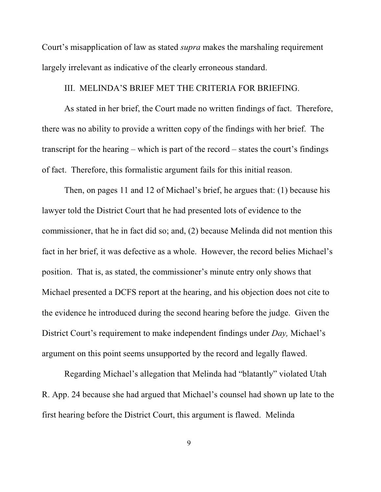Court's misapplication of law as stated *supra* makes the marshaling requirement largely irrelevant as indicative of the clearly erroneous standard.

#### III. MELINDA'S BRIEF MET THE CRITERIA FOR BRIEFING.

As stated in her brief, the Court made no written findings of fact. Therefore, there was no ability to provide a written copy of the findings with her brief. The transcript for the hearing – which is part of the record – states the court's findings of fact. Therefore, this formalistic argument fails for this initial reason.

Then, on pages 11 and 12 of Michael's brief, he argues that: (1) because his lawyer told the District Court that he had presented lots of evidence to the commissioner, that he in fact did so; and, (2) because Melinda did not mention this fact in her brief, it was defective as a whole. However, the record belies Michael's position. That is, as stated, the commissioner's minute entry only shows that Michael presented a DCFS report at the hearing, and his objection does not cite to the evidence he introduced during the second hearing before the judge. Given the District Court's requirement to make independent findings under *Day,* Michael's argument on this point seems unsupported by the record and legally flawed.

Regarding Michael's allegation that Melinda had "blatantly" violated Utah R. App. 24 because she had argued that Michael's counsel had shown up late to the first hearing before the District Court, this argument is flawed. Melinda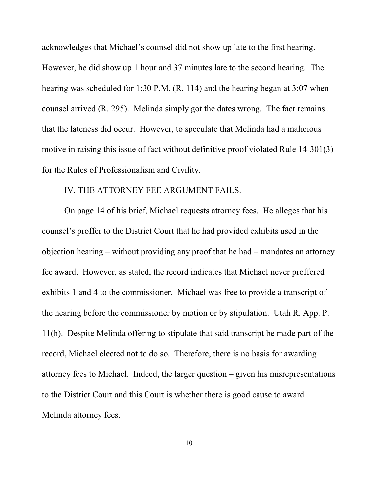acknowledges that Michael's counsel did not show up late to the first hearing. However, he did show up 1 hour and 37 minutes late to the second hearing. The hearing was scheduled for 1:30 P.M. (R. 114) and the hearing began at 3:07 when counsel arrived (R. 295). Melinda simply got the dates wrong. The fact remains that the lateness did occur. However, to speculate that Melinda had a malicious motive in raising this issue of fact without definitive proof violated Rule 14-301(3) for the Rules of Professionalism and Civility.

#### IV. THE ATTORNEY FEE ARGUMENT FAILS.

On page 14 of his brief, Michael requests attorney fees. He alleges that his counsel's proffer to the District Court that he had provided exhibits used in the objection hearing – without providing any proof that he had – mandates an attorney fee award. However, as stated, the record indicates that Michael never proffered exhibits 1 and 4 to the commissioner. Michael was free to provide a transcript of the hearing before the commissioner by motion or by stipulation. Utah R. App. P. 11(h). Despite Melinda offering to stipulate that said transcript be made part of the record, Michael elected not to do so. Therefore, there is no basis for awarding attorney fees to Michael. Indeed, the larger question – given his misrepresentations to the District Court and this Court is whether there is good cause to award Melinda attorney fees.